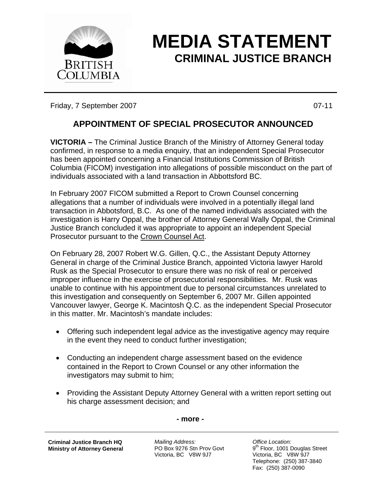

## **MEDIA STATEMENT CRIMINAL JUSTICE BRANCH**

Friday, 7 September 2007 **DEEDINEES** CONSULTERED AT A 11 O7-11

## **APPOINTMENT OF SPECIAL PROSECUTOR ANNOUNCED**

**VICTORIA –** The Criminal Justice Branch of the Ministry of Attorney General today confirmed, in response to a media enquiry, that an independent Special Prosecutor has been appointed concerning a Financial Institutions Commission of British Columbia (FICOM) investigation into allegations of possible misconduct on the part of individuals associated with a land transaction in Abbottsford BC.

In February 2007 FICOM submitted a Report to Crown Counsel concerning allegations that a number of individuals were involved in a potentially illegal land transaction in Abbotsford, B.C. As one of the named individuals associated with the investigation is Harry Oppal, the brother of Attorney General Wally Oppal, the Criminal Justice Branch concluded it was appropriate to appoint an independent Special Prosecutor pursuant to the Crown Counsel Act.

On February 28, 2007 Robert W.G. Gillen, Q.C., the Assistant Deputy Attorney General in charge of the Criminal Justice Branch, appointed Victoria lawyer Harold Rusk as the Special Prosecutor to ensure there was no risk of real or perceived improper influence in the exercise of prosecutorial responsibilities. Mr. Rusk was unable to continue with his appointment due to personal circumstances unrelated to this investigation and consequently on September 6, 2007 Mr. Gillen appointed Vancouver lawyer, George K. Macintosh Q.C. as the independent Special Prosecutor in this matter. Mr. Macintosh's mandate includes:

- Offering such independent legal advice as the investigative agency may require in the event they need to conduct further investigation;
- Conducting an independent charge assessment based on the evidence contained in the Report to Crown Counsel or any other information the investigators may submit to him;
- Providing the Assistant Deputy Attorney General with a written report setting out his charge assessment decision; and

**- more -** 

**Criminal Justice Branch HQ Ministry of Attorney General**

*Mailing Address:*  PO Box 9276 Stn Prov Govt Victoria, BC V8W 9J7

*Office Location:*  9<sup>th</sup> Floor, 1001 Douglas Street Victoria, BC V8W 9J7 Telephone: (250) 387-3840 Fax: (250) 387-0090